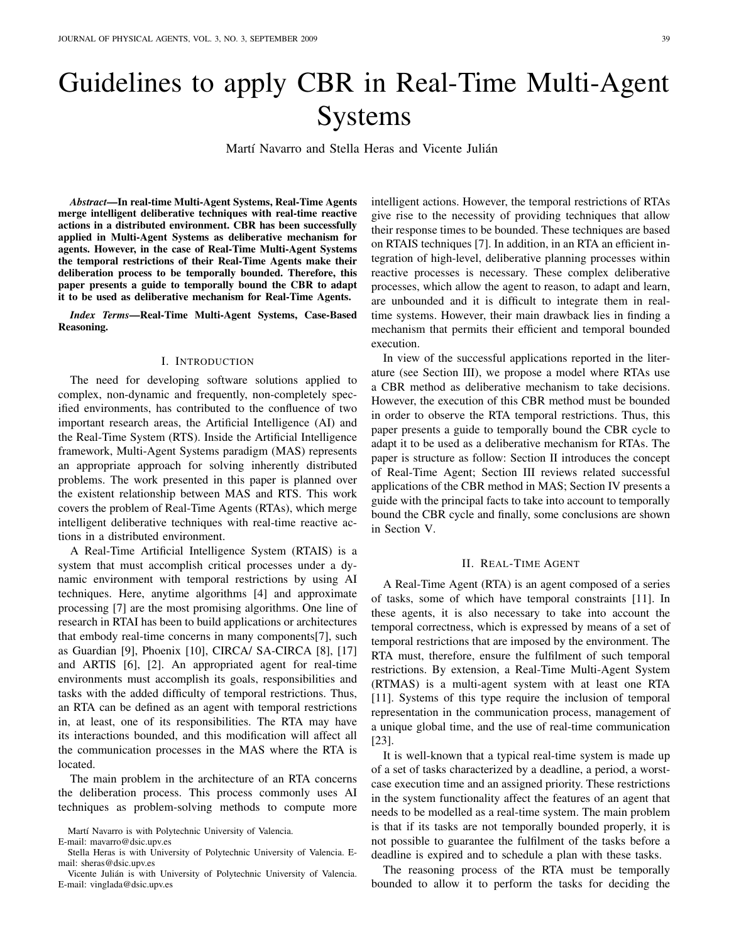# Guidelines to apply CBR in Real-Time Multi-Agent Systems

Martí Navarro and Stella Heras and Vicente Julián

*Abstract*—In real-time Multi-Agent Systems, Real-Time Agents merge intelligent deliberative techniques with real-time reactive actions in a distributed environment. CBR has been successfully applied in Multi-Agent Systems as deliberative mechanism for agents. However, in the case of Real-Time Multi-Agent Systems the temporal restrictions of their Real-Time Agents make their deliberation process to be temporally bounded. Therefore, this paper presents a guide to temporally bound the CBR to adapt it to be used as deliberative mechanism for Real-Time Agents.

*Index Terms*—Real-Time Multi-Agent Systems, Case-Based Reasoning.

## I. INTRODUCTION

The need for developing software solutions applied to complex, non-dynamic and frequently, non-completely specified environments, has contributed to the confluence of two important research areas, the Artificial Intelligence (AI) and the Real-Time System (RTS). Inside the Artificial Intelligence framework, Multi-Agent Systems paradigm (MAS) represents an appropriate approach for solving inherently distributed problems. The work presented in this paper is planned over the existent relationship between MAS and RTS. This work covers the problem of Real-Time Agents (RTAs), which merge intelligent deliberative techniques with real-time reactive actions in a distributed environment.

A Real-Time Artificial Intelligence System (RTAIS) is a system that must accomplish critical processes under a dynamic environment with temporal restrictions by using AI techniques. Here, anytime algorithms [4] and approximate processing [7] are the most promising algorithms. One line of research in RTAI has been to build applications or architectures that embody real-time concerns in many components[7], such as Guardian [9], Phoenix [10], CIRCA/ SA-CIRCA [8], [17] and ARTIS [6], [2]. An appropriated agent for real-time environments must accomplish its goals, responsibilities and tasks with the added difficulty of temporal restrictions. Thus, an RTA can be defined as an agent with temporal restrictions in, at least, one of its responsibilities. The RTA may have its interactions bounded, and this modification will affect all the communication processes in the MAS where the RTA is located.

The main problem in the architecture of an RTA concerns the deliberation process. This process commonly uses AI techniques as problem-solving methods to compute more intelligent actions. However, the temporal restrictions of RTAs give rise to the necessity of providing techniques that allow their response times to be bounded. These techniques are based on RTAIS techniques [7]. In addition, in an RTA an efficient integration of high-level, deliberative planning processes within reactive processes is necessary. These complex deliberative processes, which allow the agent to reason, to adapt and learn, are unbounded and it is difficult to integrate them in realtime systems. However, their main drawback lies in finding a mechanism that permits their efficient and temporal bounded execution.

In view of the successful applications reported in the literature (see Section III), we propose a model where RTAs use a CBR method as deliberative mechanism to take decisions. However, the execution of this CBR method must be bounded in order to observe the RTA temporal restrictions. Thus, this paper presents a guide to temporally bound the CBR cycle to adapt it to be used as a deliberative mechanism for RTAs. The paper is structure as follow: Section II introduces the concept of Real-Time Agent; Section III reviews related successful applications of the CBR method in MAS; Section IV presents a guide with the principal facts to take into account to temporally bound the CBR cycle and finally, some conclusions are shown in Section V.

## II. REAL-TIME AGENT

A Real-Time Agent (RTA) is an agent composed of a series of tasks, some of which have temporal constraints [11]. In these agents, it is also necessary to take into account the temporal correctness, which is expressed by means of a set of temporal restrictions that are imposed by the environment. The RTA must, therefore, ensure the fulfilment of such temporal restrictions. By extension, a Real-Time Multi-Agent System (RTMAS) is a multi-agent system with at least one RTA [11]. Systems of this type require the inclusion of temporal representation in the communication process, management of a unique global time, and the use of real-time communication [23].

It is well-known that a typical real-time system is made up of a set of tasks characterized by a deadline, a period, a worstcase execution time and an assigned priority. These restrictions in the system functionality affect the features of an agent that needs to be modelled as a real-time system. The main problem is that if its tasks are not temporally bounded properly, it is not possible to guarantee the fulfilment of the tasks before a deadline is expired and to schedule a plan with these tasks.

The reasoning process of the RTA must be temporally bounded to allow it to perform the tasks for deciding the

Martí Navarro is with Polytechnic University of Valencia.

E-mail: mavarro@dsic.upv.es

Stella Heras is with University of Polytechnic University of Valencia. Email: sheras@dsic.upv.es

Vicente Julian is with University of Polytechnic University of Valencia. ´ E-mail: vinglada@dsic.upv.es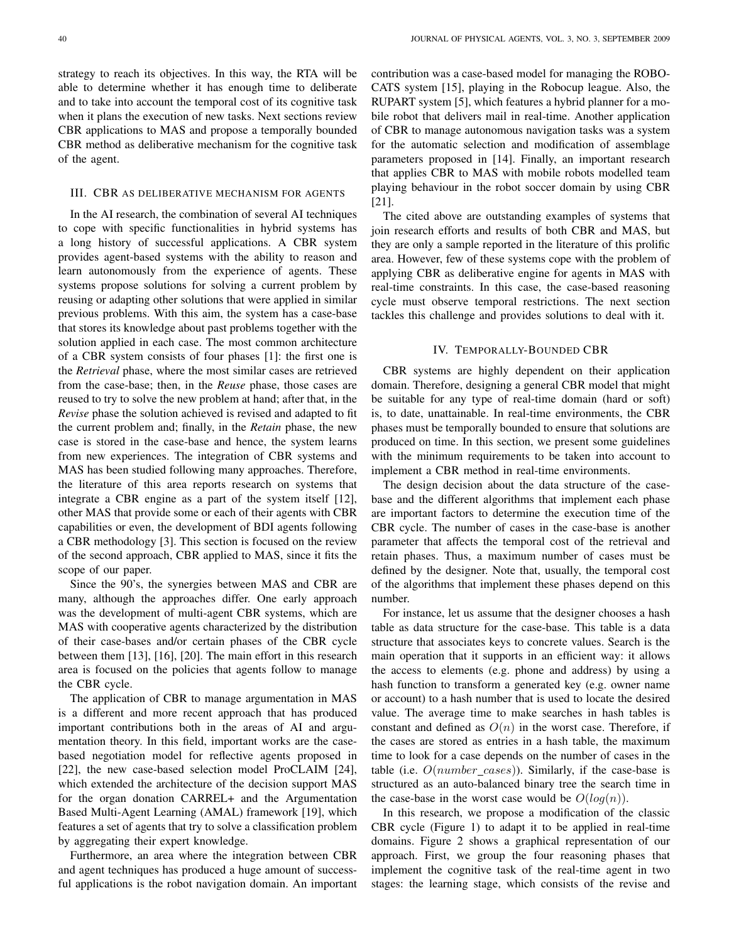strategy to reach its objectives. In this way, the RTA will be able to determine whether it has enough time to deliberate and to take into account the temporal cost of its cognitive task when it plans the execution of new tasks. Next sections review CBR applications to MAS and propose a temporally bounded CBR method as deliberative mechanism for the cognitive task of the agent.

#### III. CBR AS DELIBERATIVE MECHANISM FOR AGENTS

In the AI research, the combination of several AI techniques to cope with specific functionalities in hybrid systems has a long history of successful applications. A CBR system provides agent-based systems with the ability to reason and learn autonomously from the experience of agents. These systems propose solutions for solving a current problem by reusing or adapting other solutions that were applied in similar previous problems. With this aim, the system has a case-base that stores its knowledge about past problems together with the solution applied in each case. The most common architecture of a CBR system consists of four phases [1]: the first one is the *Retrieval* phase, where the most similar cases are retrieved from the case-base; then, in the *Reuse* phase, those cases are reused to try to solve the new problem at hand; after that, in the *Revise* phase the solution achieved is revised and adapted to fit the current problem and; finally, in the *Retain* phase, the new case is stored in the case-base and hence, the system learns from new experiences. The integration of CBR systems and MAS has been studied following many approaches. Therefore, the literature of this area reports research on systems that integrate a CBR engine as a part of the system itself [12], other MAS that provide some or each of their agents with CBR capabilities or even, the development of BDI agents following a CBR methodology [3]. This section is focused on the review of the second approach, CBR applied to MAS, since it fits the scope of our paper.

Since the 90's, the synergies between MAS and CBR are many, although the approaches differ. One early approach was the development of multi-agent CBR systems, which are MAS with cooperative agents characterized by the distribution of their case-bases and/or certain phases of the CBR cycle between them [13], [16], [20]. The main effort in this research area is focused on the policies that agents follow to manage the CBR cycle.

The application of CBR to manage argumentation in MAS is a different and more recent approach that has produced important contributions both in the areas of AI and argumentation theory. In this field, important works are the casebased negotiation model for reflective agents proposed in [22], the new case-based selection model ProCLAIM [24], which extended the architecture of the decision support MAS for the organ donation CARREL+ and the Argumentation Based Multi-Agent Learning (AMAL) framework [19], which features a set of agents that try to solve a classification problem by aggregating their expert knowledge.

Furthermore, an area where the integration between CBR and agent techniques has produced a huge amount of successful applications is the robot navigation domain. An important contribution was a case-based model for managing the ROBO-CATS system [15], playing in the Robocup league. Also, the RUPART system [5], which features a hybrid planner for a mobile robot that delivers mail in real-time. Another application of CBR to manage autonomous navigation tasks was a system for the automatic selection and modification of assemblage parameters proposed in [14]. Finally, an important research that applies CBR to MAS with mobile robots modelled team playing behaviour in the robot soccer domain by using CBR [21].

The cited above are outstanding examples of systems that join research efforts and results of both CBR and MAS, but they are only a sample reported in the literature of this prolific area. However, few of these systems cope with the problem of applying CBR as deliberative engine for agents in MAS with real-time constraints. In this case, the case-based reasoning cycle must observe temporal restrictions. The next section tackles this challenge and provides solutions to deal with it.

#### IV. TEMPORALLY-BOUNDED CBR

CBR systems are highly dependent on their application domain. Therefore, designing a general CBR model that might be suitable for any type of real-time domain (hard or soft) is, to date, unattainable. In real-time environments, the CBR phases must be temporally bounded to ensure that solutions are produced on time. In this section, we present some guidelines with the minimum requirements to be taken into account to implement a CBR method in real-time environments.

The design decision about the data structure of the casebase and the different algorithms that implement each phase are important factors to determine the execution time of the CBR cycle. The number of cases in the case-base is another parameter that affects the temporal cost of the retrieval and retain phases. Thus, a maximum number of cases must be defined by the designer. Note that, usually, the temporal cost of the algorithms that implement these phases depend on this number.

For instance, let us assume that the designer chooses a hash table as data structure for the case-base. This table is a data structure that associates keys to concrete values. Search is the main operation that it supports in an efficient way: it allows the access to elements (e.g. phone and address) by using a hash function to transform a generated key (e.g. owner name or account) to a hash number that is used to locate the desired value. The average time to make searches in hash tables is constant and defined as  $O(n)$  in the worst case. Therefore, if the cases are stored as entries in a hash table, the maximum time to look for a case depends on the number of cases in the table (i.e.  $O(number\_cases)$ ). Similarly, if the case-base is structured as an auto-balanced binary tree the search time in the case-base in the worst case would be  $O(log(n))$ .

In this research, we propose a modification of the classic CBR cycle (Figure 1) to adapt it to be applied in real-time domains. Figure 2 shows a graphical representation of our approach. First, we group the four reasoning phases that implement the cognitive task of the real-time agent in two stages: the learning stage, which consists of the revise and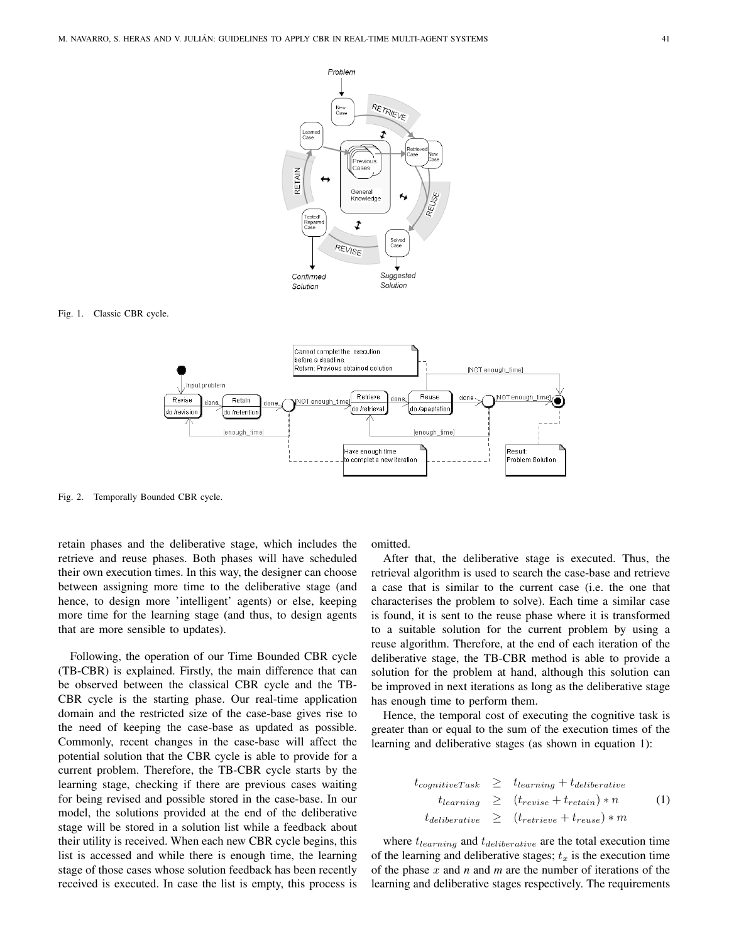

## Fig. 1. Classic CBR cycle.



Fig. 2. Temporally Bounded CBR cycle.

retain phases and the deliberative stage, which includes the retrieve and reuse phases. Both phases will have scheduled their own execution times. In this way, the designer can choose between assigning more time to the deliberative stage (and hence, to design more 'intelligent' agents) or else, keeping more time for the learning stage (and thus, to design agents that are more sensible to updates).

Following, the operation of our Time Bounded CBR cycle (TB-CBR) is explained. Firstly, the main difference that can be observed between the classical CBR cycle and the TB-CBR cycle is the starting phase. Our real-time application domain and the restricted size of the case-base gives rise to the need of keeping the case-base as updated as possible. Commonly, recent changes in the case-base will affect the potential solution that the CBR cycle is able to provide for a current problem. Therefore, the TB-CBR cycle starts by the learning stage, checking if there are previous cases waiting for being revised and possible stored in the case-base. In our model, the solutions provided at the end of the deliberative stage will be stored in a solution list while a feedback about their utility is received. When each new CBR cycle begins, this list is accessed and while there is enough time, the learning stage of those cases whose solution feedback has been recently received is executed. In case the list is empty, this process is omitted.

After that, the deliberative stage is executed. Thus, the retrieval algorithm is used to search the case-base and retrieve a case that is similar to the current case (i.e. the one that characterises the problem to solve). Each time a similar case is found, it is sent to the reuse phase where it is transformed to a suitable solution for the current problem by using a reuse algorithm. Therefore, at the end of each iteration of the deliberative stage, the TB-CBR method is able to provide a solution for the problem at hand, although this solution can be improved in next iterations as long as the deliberative stage has enough time to perform them.

Hence, the temporal cost of executing the cognitive task is greater than or equal to the sum of the execution times of the learning and deliberative stages (as shown in equation 1):

$$
t_{cognitiveTask} \geq t_{learning} + t_{deliberative}
$$
  
\n
$$
t_{learning} \geq (t_{review} + t_{retain}) * n
$$
 (1)  
\n
$$
t_{deliberative} \geq (t_{retrieve} + t_{reuse}) * m
$$

where  $t_{learning}$  and  $t_{deliberative}$  are the total execution time of the learning and deliberative stages;  $t<sub>x</sub>$  is the execution time of the phase x and *n* and *m* are the number of iterations of the learning and deliberative stages respectively. The requirements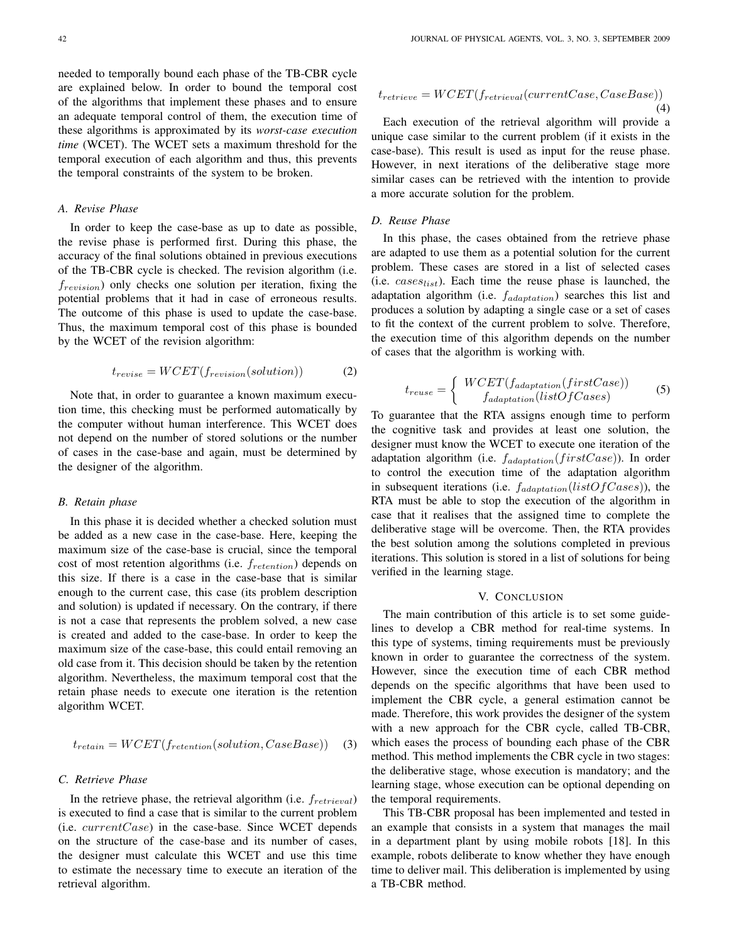needed to temporally bound each phase of the TB-CBR cycle are explained below. In order to bound the temporal cost of the algorithms that implement these phases and to ensure an adequate temporal control of them, the execution time of these algorithms is approximated by its *worst-case execution time* (WCET). The WCET sets a maximum threshold for the temporal execution of each algorithm and thus, this prevents the temporal constraints of the system to be broken.

## *A. Revise Phase*

In order to keep the case-base as up to date as possible, the revise phase is performed first. During this phase, the accuracy of the final solutions obtained in previous executions of the TB-CBR cycle is checked. The revision algorithm (i.e.  $f_{revision}$ ) only checks one solution per iteration, fixing the potential problems that it had in case of erroneous results. The outcome of this phase is used to update the case-base. Thus, the maximum temporal cost of this phase is bounded by the WCET of the revision algorithm:

$$
t_{revise} = WGET(f_{revision}(solution))
$$
 (2)

Note that, in order to guarantee a known maximum execution time, this checking must be performed automatically by the computer without human interference. This WCET does not depend on the number of stored solutions or the number of cases in the case-base and again, must be determined by the designer of the algorithm.

# *B. Retain phase*

In this phase it is decided whether a checked solution must be added as a new case in the case-base. Here, keeping the maximum size of the case-base is crucial, since the temporal cost of most retention algorithms (i.e.  $f_{retertion}$ ) depends on this size. If there is a case in the case-base that is similar enough to the current case, this case (its problem description and solution) is updated if necessary. On the contrary, if there is not a case that represents the problem solved, a new case is created and added to the case-base. In order to keep the maximum size of the case-base, this could entail removing an old case from it. This decision should be taken by the retention algorithm. Nevertheless, the maximum temporal cost that the retain phase needs to execute one iteration is the retention algorithm WCET.

$$
t_{retain} = WCET(f_{retention}(solution, CaseBase)) \quad (3)
$$

# *C. Retrieve Phase*

In the retrieve phase, the retrieval algorithm (i.e.  $f_{retrieval}$ ) is executed to find a case that is similar to the current problem (i.e.  $currentCase$ ) in the case-base. Since WCET depends on the structure of the case-base and its number of cases, the designer must calculate this WCET and use this time to estimate the necessary time to execute an iteration of the retrieval algorithm.

$$
t_{retrieve} = WGET(f_{retrieval}(currentCase, CaseBase))
$$
\n(4)

Each execution of the retrieval algorithm will provide a unique case similar to the current problem (if it exists in the case-base). This result is used as input for the reuse phase. However, in next iterations of the deliberative stage more similar cases can be retrieved with the intention to provide a more accurate solution for the problem.

# *D. Reuse Phase*

In this phase, the cases obtained from the retrieve phase are adapted to use them as a potential solution for the current problem. These cases are stored in a list of selected cases (i.e.  $cases_{list}$ ). Each time the reuse phase is launched, the adaptation algorithm (i.e.  $f_{adaptation}$ ) searches this list and produces a solution by adapting a single case or a set of cases to fit the context of the current problem to solve. Therefore, the execution time of this algorithm depends on the number of cases that the algorithm is working with.

$$
t_{reuse} = \begin{cases} \ WCEPT(f_{adaptation}(firstCase)) \\ \qquad f_{adaptation}(listOfCases) \end{cases} \tag{5}
$$

To guarantee that the RTA assigns enough time to perform the cognitive task and provides at least one solution, the designer must know the WCET to execute one iteration of the adaptation algorithm (i.e.  $f_{adaptation}(firstCase)$ ). In order to control the execution time of the adaptation algorithm in subsequent iterations (i.e.  $f_{adaptation}(listOfCases)$ ), the RTA must be able to stop the execution of the algorithm in case that it realises that the assigned time to complete the deliberative stage will be overcome. Then, the RTA provides the best solution among the solutions completed in previous iterations. This solution is stored in a list of solutions for being verified in the learning stage.

# V. CONCLUSION

The main contribution of this article is to set some guidelines to develop a CBR method for real-time systems. In this type of systems, timing requirements must be previously known in order to guarantee the correctness of the system. However, since the execution time of each CBR method depends on the specific algorithms that have been used to implement the CBR cycle, a general estimation cannot be made. Therefore, this work provides the designer of the system with a new approach for the CBR cycle, called TB-CBR, which eases the process of bounding each phase of the CBR method. This method implements the CBR cycle in two stages: the deliberative stage, whose execution is mandatory; and the learning stage, whose execution can be optional depending on the temporal requirements.

This TB-CBR proposal has been implemented and tested in an example that consists in a system that manages the mail in a department plant by using mobile robots [18]. In this example, robots deliberate to know whether they have enough time to deliver mail. This deliberation is implemented by using a TB-CBR method.